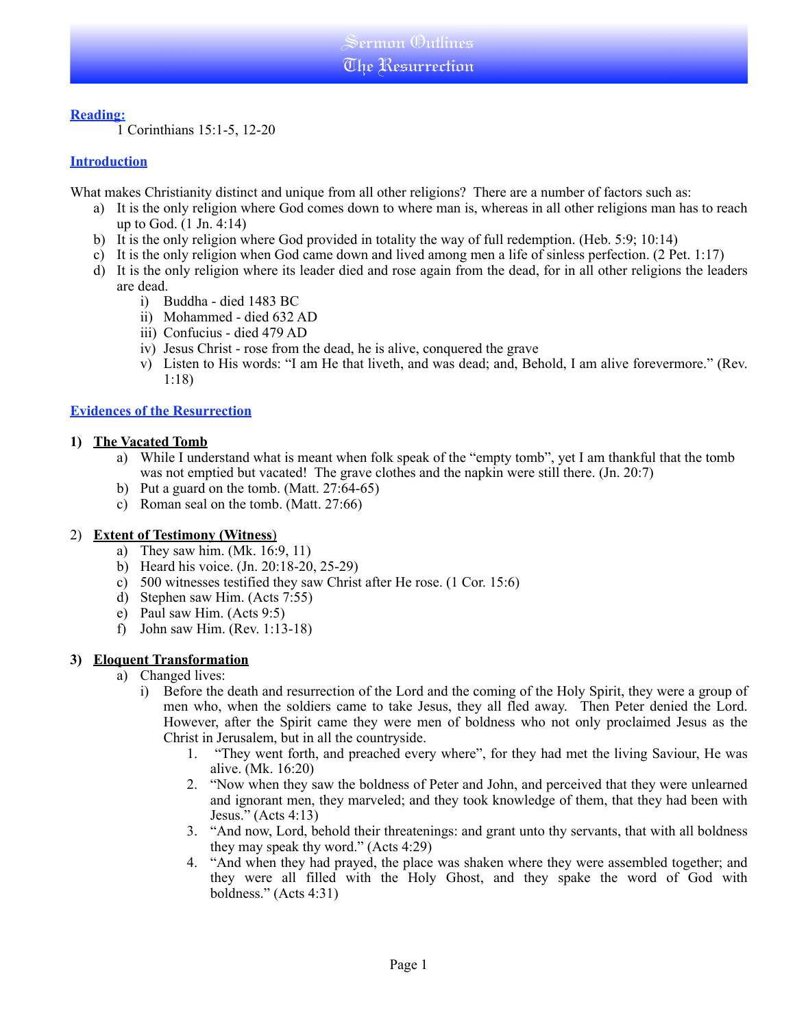## **Reading:**

1 Corinthians 15:1-5, 12-20

## **Introduction**

What makes Christianity distinct and unique from all other religions? There are a number of factors such as:

- a) It is the only religion where God comes down to where man is, whereas in all other religions man has to reach up to God. (1 Jn. 4:14)
- b) It is the only religion where God provided in totality the way of full redemption. (Heb. 5:9; 10:14)
- c) It is the only religion when God came down and lived among men a life of sinless perfection. (2 Pet. 1:17)
- d) It is the only religion where its leader died and rose again from the dead, for in all other religions the leaders are dead.
	- i) Buddha died 1483 BC
	- ii) Mohammed died 632 AD
	- iii) Confucius died 479 AD
	- iv) Jesus Christ rose from the dead, he is alive, conquered the grave
	- v) Listen to His words: "I am He that liveth, and was dead; and, Behold, I am alive forevermore." (Rev. 1:18)

## **Evidences of the Resurrection**

### **1) The Vacated Tomb**

- a) While I understand what is meant when folk speak of the "empty tomb", yet I am thankful that the tomb was not emptied but vacated! The grave clothes and the napkin were still there. (Jn. 20:7)
- b) Put a guard on the tomb. (Matt. 27:64-65)
- c) Roman seal on the tomb. (Matt. 27:66)

### 2) **Extent of Testimony (Witness**)

- a) They saw him. (Mk. 16:9, 11)
- b) Heard his voice. (Jn. 20:18-20, 25-29)
- c) 500 witnesses testified they saw Christ after He rose. (1 Cor. 15:6)
- d) Stephen saw Him. (Acts 7:55)
- e) Paul saw Him. (Acts 9:5)
- f) John saw Him. (Rev. 1:13-18)

# **3) Eloquent Transformation**

- a) Changed lives:
	- i) Before the death and resurrection of the Lord and the coming of the Holy Spirit, they were a group of men who, when the soldiers came to take Jesus, they all fled away. Then Peter denied the Lord. However, after the Spirit came they were men of boldness who not only proclaimed Jesus as the Christ in Jerusalem, but in all the countryside.
		- 1. "They went forth, and preached every where", for they had met the living Saviour, He was alive. (Mk. 16:20)
		- 2. "Now when they saw the boldness of Peter and John, and perceived that they were unlearned and ignorant men, they marveled; and they took knowledge of them, that they had been with Jesus." (Acts 4:13)
		- 3. "And now, Lord, behold their threatenings: and grant unto thy servants, that with all boldness they may speak thy word." (Acts 4:29)
		- 4. "And when they had prayed, the place was shaken where they were assembled together; and they were all filled with the Holy Ghost, and they spake the word of God with boldness." (Acts 4:31)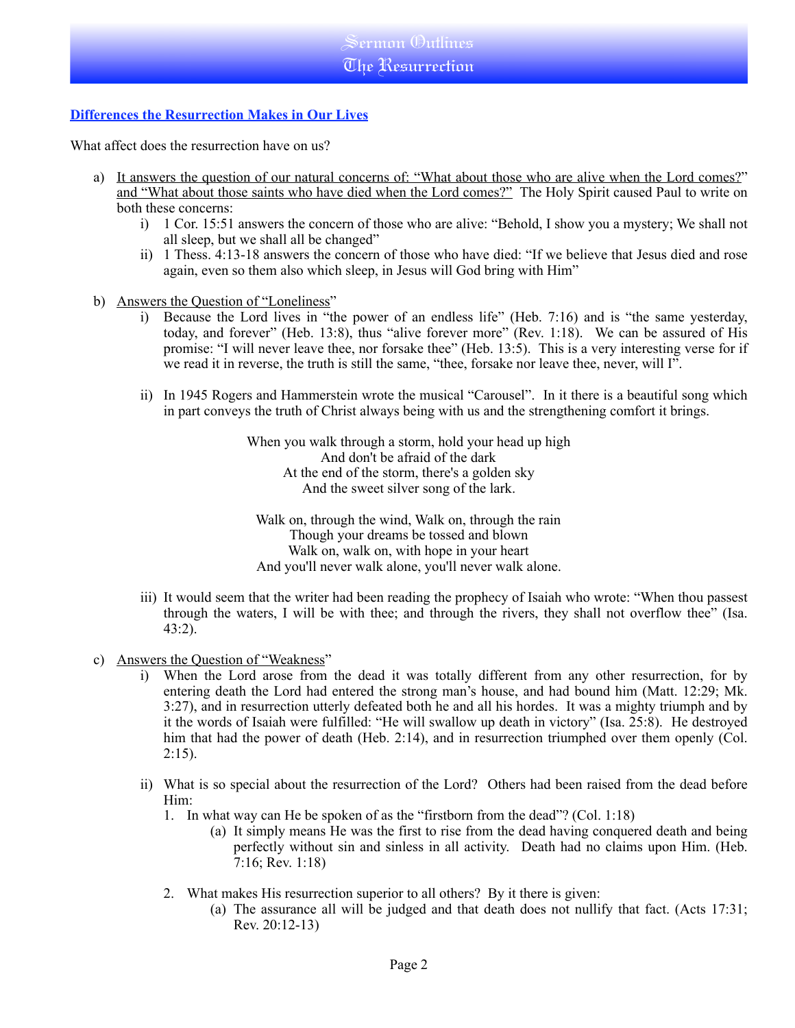# **Differences the Resurrection Makes in Our Lives**

What affect does the resurrection have on us?

- a) It answers the question of our natural concerns of: "What about those who are alive when the Lord comes?" and "What about those saints who have died when the Lord comes?" The Holy Spirit caused Paul to write on both these concerns:
	- i) 1 Cor. 15:51 answers the concern of those who are alive: "Behold, I show you a mystery; We shall not all sleep, but we shall all be changed"
	- ii) 1 Thess. 4:13-18 answers the concern of those who have died: "If we believe that Jesus died and rose again, even so them also which sleep, in Jesus will God bring with Him"
- b) Answers the Question of "Loneliness"
	- i) Because the Lord lives in "the power of an endless life" (Heb. 7:16) and is "the same yesterday, today, and forever" (Heb. 13:8), thus "alive forever more" (Rev. 1:18). We can be assured of His promise: "I will never leave thee, nor forsake thee" (Heb. 13:5). This is a very interesting verse for if we read it in reverse, the truth is still the same, "thee, forsake nor leave thee, never, will I".
	- ii) In 1945 Rogers and Hammerstein wrote the musical "Carousel". In it there is a beautiful song which in part conveys the truth of Christ always being with us and the strengthening comfort it brings.

When you walk through a storm, hold your head up high And don't be afraid of the dark At the end of the storm, there's a golden sky And the sweet silver song of the lark.

Walk on, through the wind, Walk on, through the rain Though your dreams be tossed and blown Walk on, walk on, with hope in your heart And you'll never walk alone, you'll never walk alone.

- iii) It would seem that the writer had been reading the prophecy of Isaiah who wrote: "When thou passest through the waters, I will be with thee; and through the rivers, they shall not overflow thee" (Isa. 43:2).
- c) Answers the Question of "Weakness"
	- i) When the Lord arose from the dead it was totally different from any other resurrection, for by entering death the Lord had entered the strong man's house, and had bound him (Matt. 12:29; Mk. 3:27), and in resurrection utterly defeated both he and all his hordes. It was a mighty triumph and by it the words of Isaiah were fulfilled: "He will swallow up death in victory" (Isa. 25:8). He destroyed him that had the power of death (Heb. 2:14), and in resurrection triumphed over them openly (Col.  $2:15$ ).
	- ii) What is so special about the resurrection of the Lord? Others had been raised from the dead before Him:
		- 1. In what way can He be spoken of as the "firstborn from the dead"? (Col. 1:18)
			- (a) It simply means He was the first to rise from the dead having conquered death and being perfectly without sin and sinless in all activity. Death had no claims upon Him. (Heb. 7:16; Rev. 1:18)
		- 2. What makes His resurrection superior to all others? By it there is given:
			- (a) The assurance all will be judged and that death does not nullify that fact. (Acts 17:31; Rev. 20:12-13)